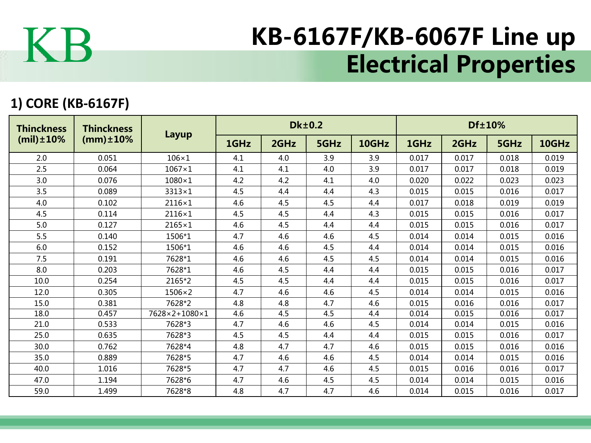

## KB-6167F/KB-6067F Line up Electrical Properties

## **1) CORE (KB-6167F)**

| <b>Thinckness</b><br>$(mil) \pm 10\%$ | <b>Thinckness</b><br>$(mm) \pm 10\%$ | Layup         |      |      | <b>Dk±0.2</b> |       | Df±10% |       |       |       |  |
|---------------------------------------|--------------------------------------|---------------|------|------|---------------|-------|--------|-------|-------|-------|--|
|                                       |                                      |               | 1GHz | 2GHz | 5GHz          | 10GHz | 1GHz   | 2GHz  | 5GHz  | 10GHz |  |
| 2.0                                   | 0.051                                | $106\times1$  | 4.1  | 4.0  | 3.9           | 3.9   | 0.017  | 0.017 | 0.018 | 0.019 |  |
| 2.5                                   | 0.064                                | $1067\times1$ | 4.1  | 4.1  | 4.0           | 3.9   | 0.017  | 0.017 | 0.018 | 0.019 |  |
| 3.0                                   | 0.076                                | $1080\times1$ | 4.2  | 4.2  | 4.1           | 4.0   | 0.020  | 0.022 | 0.023 | 0.023 |  |
| 3.5                                   | 0.089                                | $3313\times1$ | 4.5  | 4.4  | 4.4           | 4.3   | 0.015  | 0.015 | 0.016 | 0.017 |  |
| 4.0                                   | 0.102                                | $2116\times1$ | 4.6  | 4.5  | 4.5           | 4.4   | 0.017  | 0.018 | 0.019 | 0.019 |  |
| 4.5                                   | 0.114                                | $2116\times1$ | 4.5  | 4.5  | 4.4           | 4.3   | 0.015  | 0.015 | 0.016 | 0.017 |  |
| 5.0                                   | 0.127                                | $2165\times1$ | 4.6  | 4.5  | 4.4           | 4.4   | 0.015  | 0.015 | 0.016 | 0.017 |  |
| 5.5                                   | 0.140                                | 1506*1        | 4.7  | 4.6  | 4.6           | 4.5   | 0.014  | 0.014 | 0.015 | 0.016 |  |
| 6.0                                   | 0.152                                | 1506*1        | 4.6  | 4.6  | 4.5           | 4.4   | 0.014  | 0.014 | 0.015 | 0.016 |  |
| 7.5                                   | 0.191                                | 7628*1        | 4.6  | 4.6  | 4.5           | 4.5   | 0.014  | 0.014 | 0.015 | 0.016 |  |
| 8.0                                   | 0.203                                | 7628*1        | 4.6  | 4.5  | 4.4           | 4.4   | 0.015  | 0.015 | 0.016 | 0.017 |  |
| 10.0                                  | 0.254                                | 2165*2        | 4.5  | 4.5  | 4.4           | 4.4   | 0.015  | 0.015 | 0.016 | 0.017 |  |
| 12.0                                  | 0.305                                | $1506\times2$ | 4.7  | 4.6  | 4.6           | 4.5   | 0.014  | 0.014 | 0.015 | 0.016 |  |
| 15.0                                  | 0.381                                | 7628*2        | 4.8  | 4.8  | 4.7           | 4.6   | 0.015  | 0.016 | 0.016 | 0.017 |  |
| 18.0                                  | 0.457                                | 7628×2+1080×1 | 4.6  | 4.5  | 4.5           | 4.4   | 0.014  | 0.015 | 0.016 | 0.017 |  |
| 21.0                                  | 0.533                                | 7628*3        | 4.7  | 4.6  | 4.6           | 4.5   | 0.014  | 0.014 | 0.015 | 0.016 |  |
| 25.0                                  | 0.635                                | 7628*3        | 4.5  | 4.5  | 4.4           | 4.4   | 0.015  | 0.015 | 0.016 | 0.017 |  |
| 30.0                                  | 0.762                                | 7628*4        | 4.8  | 4.7  | 4.7           | 4.6   | 0.015  | 0.015 | 0.016 | 0.016 |  |
| 35.0                                  | 0.889                                | 7628*5        | 4.7  | 4.6  | 4.6           | 4.5   | 0.014  | 0.014 | 0.015 | 0.016 |  |
| 40.0                                  | 1.016                                | 7628*5        | 4.7  | 4.7  | 4.6           | 4.5   | 0.015  | 0.016 | 0.016 | 0.017 |  |
| 47.0                                  | 1.194                                | 7628*6        | 4.7  | 4.6  | 4.5           | 4.5   | 0.014  | 0.014 | 0.015 | 0.016 |  |
| 59.0                                  | 1.499                                | 7628*8        | 4.8  | 4.7  | 4.7           | 4.6   | 0.014  | 0.015 | 0.016 | 0.017 |  |